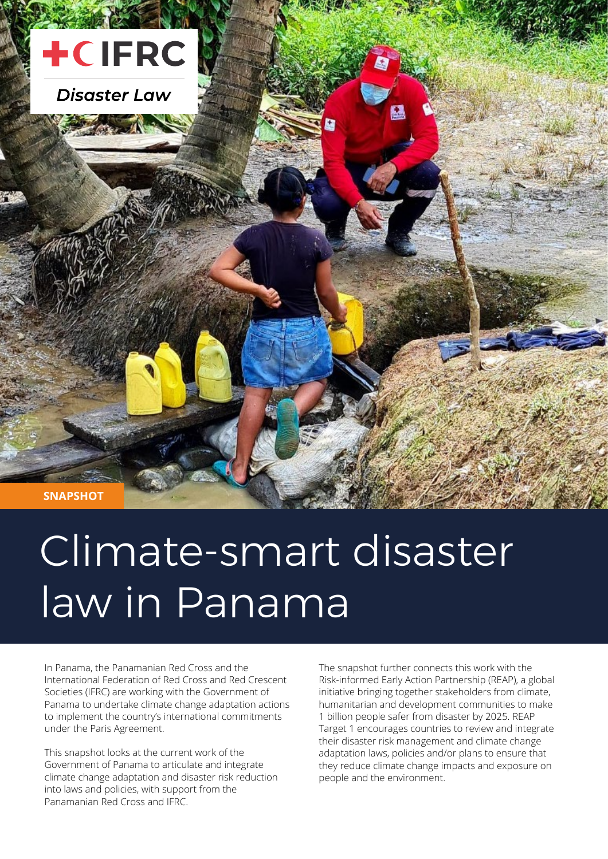

**SNAPSHOT**

# Climate-smart disaster law in Panama

In Panama, the Panamanian Red Cross and the International Federation of Red Cross and Red Crescent Societies (IFRC) are working with the Government of Panama to undertake climate change adaptation actions to implement the country's international commitments under the Paris Agreement.

This snapshot looks at the current work of the Government of Panama to articulate and integrate climate change adaptation and disaster risk reduction into laws and policies, with support from the Panamanian Red Cross and IFRC.

The snapshot further connects this work with the Risk-informed Early Action Partnership (REAP), a global initiative bringing together stakeholders from climate, humanitarian and development communities to make 1 billion people safer from disaster by 2025. REAP Target 1 encourages countries to review and integrate their disaster risk management and climate change adaptation laws, policies and/or plans to ensure that they reduce climate change impacts and exposure on people and the environment.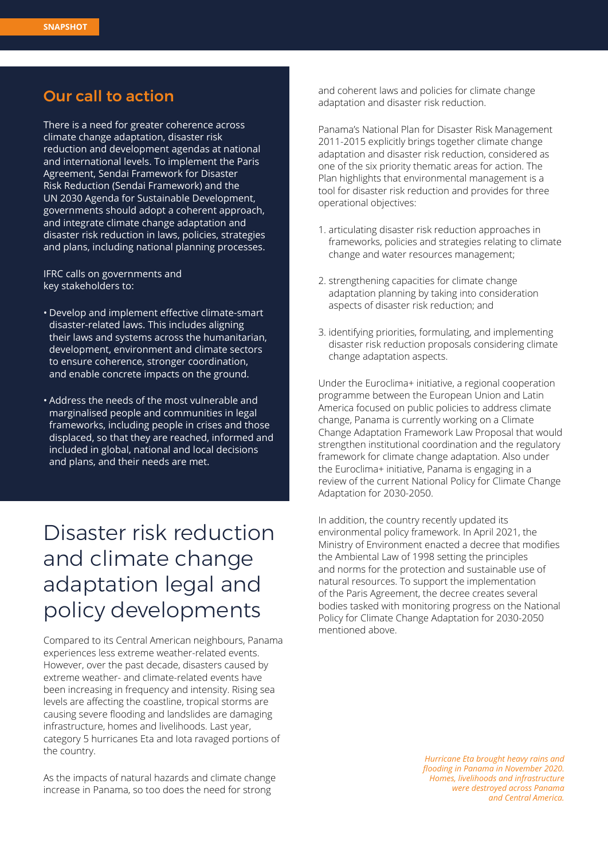#### Our call to action

There is a need for greater coherence across climate change adaptation, disaster risk reduction and development agendas at national and international levels. To implement the Paris Agreement, Sendai Framework for Disaster Risk Reduction (Sendai Framework) and the UN 2030 Agenda for Sustainable Development, governments should adopt a coherent approach, and integrate climate change adaptation and disaster risk reduction in laws, policies, strategies and plans, including national planning processes.

IFRC calls on governments and key stakeholders to:

- • Develop and implement effective climate-smart disaster-related laws. This includes aligning their laws and systems across the humanitarian, development, environment and climate sectors to ensure coherence, stronger coordination, and enable concrete impacts on the ground.
- Address the needs of the most vulnerable and marginalised people and communities in legal frameworks, including people in crises and those displaced, so that they are reached, informed and included in global, national and local decisions and plans, and their needs are met.

## Disaster risk reduction and climate change adaptation legal and policy developments

Compared to its Central American neighbours, Panama experiences less extreme weather-related events. However, over the past decade, disasters caused by extreme weather- and climate-related events have been increasing in frequency and intensity. Rising sea levels are affecting the coastline, tropical storms are causing severe flooding and landslides are damaging infrastructure, homes and livelihoods. Last year, category 5 hurricanes Eta and Iota ravaged portions of the country.

As the impacts of natural hazards and climate change increase in Panama, so too does the need for strong

and coherent laws and policies for climate change adaptation and disaster risk reduction.

Panama's National Plan for Disaster Risk Management 2011-2015 explicitly brings together climate change adaptation and disaster risk reduction, considered as one of the six priority thematic areas for action. The Plan highlights that environmental management is a tool for disaster risk reduction and provides for three operational objectives:

- 1. articulating disaster risk reduction approaches in frameworks, policies and strategies relating to climate change and water resources management;
- 2. strengthening capacities for climate change adaptation planning by taking into consideration aspects of disaster risk reduction; and
- 3. identifying priorities, formulating, and implementing disaster risk reduction proposals considering climate change adaptation aspects.

Under the Euroclima+ initiative, a regional cooperation programme between the European Union and Latin America focused on public policies to address climate change, Panama is currently working on a Climate Change Adaptation Framework Law Proposal that would strengthen institutional coordination and the regulatory framework for climate change adaptation. Also under the Euroclima+ initiative, Panama is engaging in a review of the current National Policy for Climate Change Adaptation for 2030-2050.

In addition, the country recently updated its environmental policy framework. In April 2021, the Ministry of Environment enacted a decree that modifies the Ambiental Law of 1998 setting the principles and norms for the protection and sustainable use of natural resources. To support the implementation of the Paris Agreement, the decree creates several bodies tasked with monitoring progress on the National Policy for Climate Change Adaptation for 2030-2050 mentioned above.

> *Hurricane Eta brought heavy rains and flooding in Panama in November 2020. Homes, livelihoods and infrastructure were destroyed across Panama and Central America.*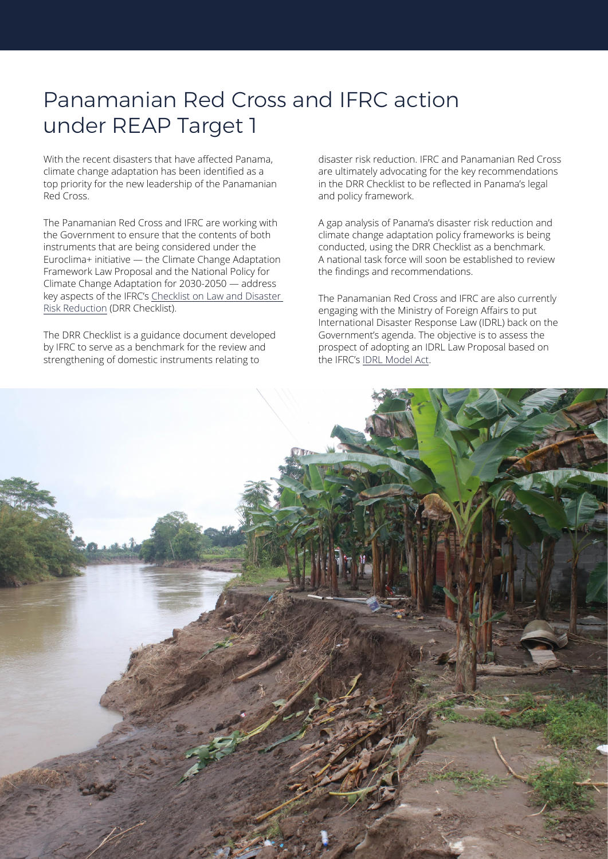## Panamanian Red Cross and IFRC action under REAP Target 1

With the recent disasters that have affected Panama, climate change adaptation has been identified as a top priority for the new leadership of the Panamanian Red Cross.

The Panamanian Red Cross and IFRC are working with the Government to ensure that the contents of both instruments that are being considered under the Euroclima+ initiative — the Climate Change Adaptation Framework Law Proposal and the National Policy for Climate Change Adaptation for 2030-2050 — address key aspects of the [IFRC's Checklist on Law and Disaster](https://disasterlaw.ifrc.org/media/1354)  [Risk Reduction](https://disasterlaw.ifrc.org/media/1354) (DRR Checklist).

The DRR Checklist is a guidance document developed by IFRC to serve as a benchmark for the review and strengthening of domestic instruments relating to

disaster risk reduction. IFRC and Panamanian Red Cross are ultimately advocating for the key recommendations in the DRR Checklist to be reflected in Panama's legal and policy framework.

A gap analysis of Panama's disaster risk reduction and climate change adaptation policy frameworks is being conducted, using the DRR Checklist as a benchmark. A national task force will soon be established to review the findings and recommendations.

The Panamanian Red Cross and IFRC are also currently engaging with the Ministry of Foreign Affairs to put International Disaster Response Law (IDRL) back on the Government's agenda. The objective is to assess the prospect of adopting an IDRL Law Proposal based on the IFRC's [IDRL Model Act.](https://disasterlaw.ifrc.org/media/1772)